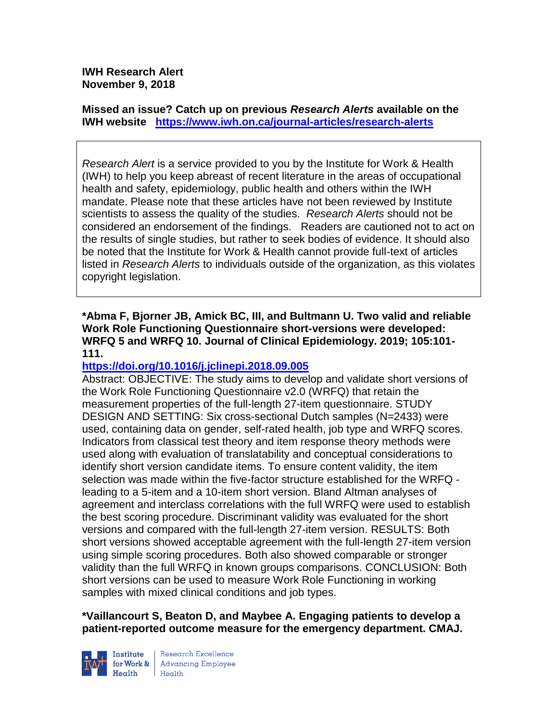**IWH Research Alert November 9, 2018**

**Missed an issue? Catch up on previous** *Research Alerts* **available on the [IWH website](http://www.iwh.on.ca/research-alerts) <https://www.iwh.on.ca/journal-articles/research-alerts>**

*Research Alert* is a service provided to you by the Institute for Work & Health (IWH) to help you keep abreast of recent literature in the areas of occupational health and safety, epidemiology, public health and others within the IWH mandate. Please note that these articles have not been reviewed by Institute scientists to assess the quality of the studies. *Research Alerts* should not be considered an endorsement of the findings. Readers are cautioned not to act on the results of single studies, but rather to seek bodies of evidence. It should also be noted that the Institute for Work & Health cannot provide full-text of articles listed in *Research Alerts* to individuals outside of the organization, as this violates copyright legislation.

**\*Abma F, Bjorner JB, Amick BC, III, and Bultmann U. Two valid and reliable Work Role Functioning Questionnaire short-versions were developed: WRFQ 5 and WRFQ 10. Journal of Clinical Epidemiology. 2019; 105:101- 111.** 

## **<https://doi.org/10.1016/j.jclinepi.2018.09.005>**

Abstract: OBJECTIVE: The study aims to develop and validate short versions of the Work Role Functioning Questionnaire v2.0 (WRFQ) that retain the measurement properties of the full-length 27-item questionnaire. STUDY DESIGN AND SETTING: Six cross-sectional Dutch samples (N=2433) were used, containing data on gender, self-rated health, job type and WRFQ scores. Indicators from classical test theory and item response theory methods were used along with evaluation of translatability and conceptual considerations to identify short version candidate items. To ensure content validity, the item selection was made within the five-factor structure established for the WRFQ leading to a 5-item and a 10-item short version. Bland Altman analyses of agreement and interclass correlations with the full WRFQ were used to establish the best scoring procedure. Discriminant validity was evaluated for the short versions and compared with the full-length 27-item version. RESULTS: Both short versions showed acceptable agreement with the full-length 27-item version using simple scoring procedures. Both also showed comparable or stronger validity than the full WRFQ in known groups comparisons. CONCLUSION: Both short versions can be used to measure Work Role Functioning in working samples with mixed clinical conditions and job types.

**\*Vaillancourt S, Beaton D, and Maybee A. Engaging patients to develop a patient-reported outcome measure for the emergency department. CMAJ.** 



Research Excellence **Institute** Research Excellence<br> **For Work &**<br>
Morth Harlth Harlth  $H_{\text{eath}}$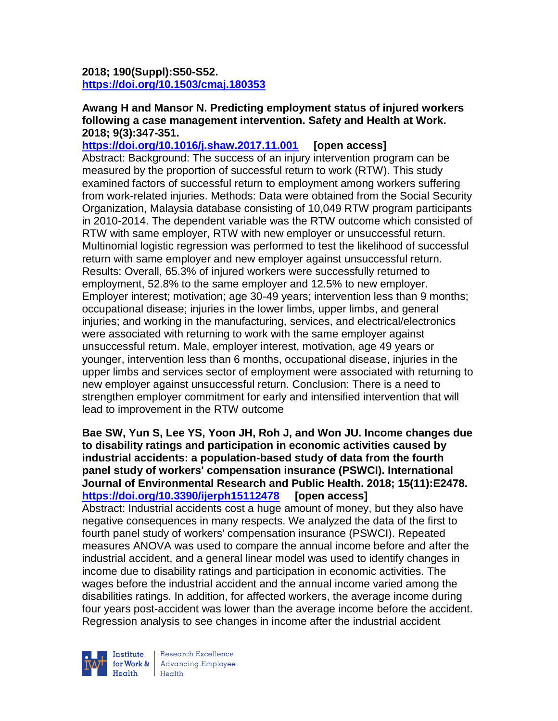# **2018; 190(Suppl):S50-S52. <https://doi.org/10.1503/cmaj.180353>**

#### **Awang H and Mansor N. Predicting employment status of injured workers following a case management intervention. Safety and Health at Work. 2018; 9(3):347-351.**

**<https://doi.org/10.1016/j.shaw.2017.11.001> [open access]** Abstract: Background: The success of an injury intervention program can be measured by the proportion of successful return to work (RTW). This study examined factors of successful return to employment among workers suffering from work-related injuries. Methods: Data were obtained from the Social Security Organization, Malaysia database consisting of 10,049 RTW program participants in 2010-2014. The dependent variable was the RTW outcome which consisted of RTW with same employer, RTW with new employer or unsuccessful return. Multinomial logistic regression was performed to test the likelihood of successful return with same employer and new employer against unsuccessful return. Results: Overall, 65.3% of injured workers were successfully returned to employment, 52.8% to the same employer and 12.5% to new employer. Employer interest; motivation; age 30-49 years; intervention less than 9 months; occupational disease; injuries in the lower limbs, upper limbs, and general injuries; and working in the manufacturing, services, and electrical/electronics were associated with returning to work with the same employer against unsuccessful return. Male, employer interest, motivation, age 49 years or younger, intervention less than 6 months, occupational disease, injuries in the upper limbs and services sector of employment were associated with returning to new employer against unsuccessful return. Conclusion: There is a need to strengthen employer commitment for early and intensified intervention that will lead to improvement in the RTW outcome

**Bae SW, Yun S, Lee YS, Yoon JH, Roh J, and Won JU. Income changes due to disability ratings and participation in economic activities caused by industrial accidents: a population-based study of data from the fourth panel study of workers' compensation insurance (PSWCI). International Journal of Environmental Research and Public Health. 2018; 15(11):E2478. <https://doi.org/10.3390/ijerph15112478> [open access]** Abstract: Industrial accidents cost a huge amount of money, but they also have negative consequences in many respects. We analyzed the data of the first to fourth panel study of workers' compensation insurance (PSWCI). Repeated measures ANOVA was used to compare the annual income before and after the industrial accident, and a general linear model was used to identify changes in income due to disability ratings and participation in economic activities. The wages before the industrial accident and the annual income varied among the disabilities ratings. In addition, for affected workers, the average income during four years post-accident was lower than the average income before the accident. Regression analysis to see changes in income after the industrial accident



Research Excellence for Work & | Advancing Employee  $H_{\text{eath}}$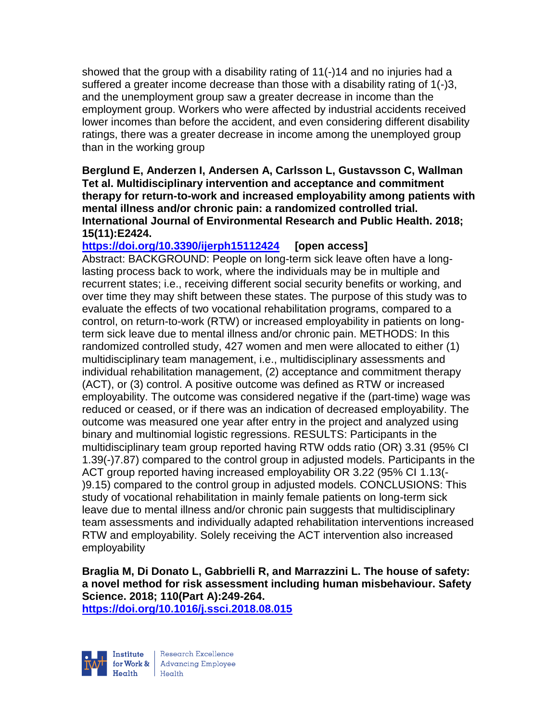showed that the group with a disability rating of 11(-)14 and no injuries had a suffered a greater income decrease than those with a disability rating of 1(-)3, and the unemployment group saw a greater decrease in income than the employment group. Workers who were affected by industrial accidents received lower incomes than before the accident, and even considering different disability ratings, there was a greater decrease in income among the unemployed group than in the working group

### **Berglund E, Anderzen I, Andersen A, Carlsson L, Gustavsson C, Wallman Tet al. Multidisciplinary intervention and acceptance and commitment therapy for return-to-work and increased employability among patients with mental illness and/or chronic pain: a randomized controlled trial. International Journal of Environmental Research and Public Health. 2018; 15(11):E2424.**

**<https://doi.org/10.3390/ijerph15112424> [open access]**

Abstract: BACKGROUND: People on long-term sick leave often have a longlasting process back to work, where the individuals may be in multiple and recurrent states; i.e., receiving different social security benefits or working, and over time they may shift between these states. The purpose of this study was to evaluate the effects of two vocational rehabilitation programs, compared to a control, on return-to-work (RTW) or increased employability in patients on longterm sick leave due to mental illness and/or chronic pain. METHODS: In this randomized controlled study, 427 women and men were allocated to either (1) multidisciplinary team management, i.e., multidisciplinary assessments and individual rehabilitation management, (2) acceptance and commitment therapy (ACT), or (3) control. A positive outcome was defined as RTW or increased employability. The outcome was considered negative if the (part-time) wage was reduced or ceased, or if there was an indication of decreased employability. The outcome was measured one year after entry in the project and analyzed using binary and multinomial logistic regressions. RESULTS: Participants in the multidisciplinary team group reported having RTW odds ratio (OR) 3.31 (95% CI 1.39(-)7.87) compared to the control group in adjusted models. Participants in the ACT group reported having increased employability OR 3.22 (95% CI 1.13(- )9.15) compared to the control group in adjusted models. CONCLUSIONS: This study of vocational rehabilitation in mainly female patients on long-term sick leave due to mental illness and/or chronic pain suggests that multidisciplinary team assessments and individually adapted rehabilitation interventions increased RTW and employability. Solely receiving the ACT intervention also increased employability

**Braglia M, Di Donato L, Gabbrielli R, and Marrazzini L. The house of safety: a novel method for risk assessment including human misbehaviour. Safety Science. 2018; 110(Part A):249-264.** 

**<https://doi.org/10.1016/j.ssci.2018.08.015>** 



Research Excellence for Work & | Advancing Employee Health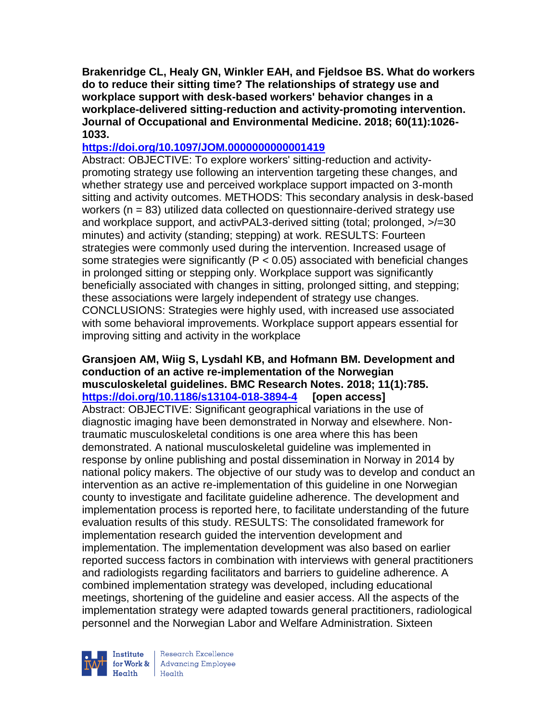**Brakenridge CL, Healy GN, Winkler EAH, and Fjeldsoe BS. What do workers do to reduce their sitting time? The relationships of strategy use and workplace support with desk-based workers' behavior changes in a workplace-delivered sitting-reduction and activity-promoting intervention. Journal of Occupational and Environmental Medicine. 2018; 60(11):1026- 1033.** 

# **<https://doi.org/10.1097/JOM.0000000000001419>**

Abstract: OBJECTIVE: To explore workers' sitting-reduction and activitypromoting strategy use following an intervention targeting these changes, and whether strategy use and perceived workplace support impacted on 3-month sitting and activity outcomes. METHODS: This secondary analysis in desk-based workers (n = 83) utilized data collected on questionnaire-derived strategy use and workplace support, and activPAL3-derived sitting (total; prolonged, >/=30 minutes) and activity (standing; stepping) at work. RESULTS: Fourteen strategies were commonly used during the intervention. Increased usage of some strategies were significantly ( $P < 0.05$ ) associated with beneficial changes in prolonged sitting or stepping only. Workplace support was significantly beneficially associated with changes in sitting, prolonged sitting, and stepping; these associations were largely independent of strategy use changes. CONCLUSIONS: Strategies were highly used, with increased use associated with some behavioral improvements. Workplace support appears essential for improving sitting and activity in the workplace

#### **Gransjoen AM, Wiig S, Lysdahl KB, and Hofmann BM. Development and conduction of an active re-implementation of the Norwegian musculoskeletal guidelines. BMC Research Notes. 2018; 11(1):785. <https://doi.org/10.1186/s13104-018-3894-4> [open access]**

Abstract: OBJECTIVE: Significant geographical variations in the use of diagnostic imaging have been demonstrated in Norway and elsewhere. Nontraumatic musculoskeletal conditions is one area where this has been demonstrated. A national musculoskeletal guideline was implemented in response by online publishing and postal dissemination in Norway in 2014 by national policy makers. The objective of our study was to develop and conduct an intervention as an active re-implementation of this guideline in one Norwegian county to investigate and facilitate guideline adherence. The development and implementation process is reported here, to facilitate understanding of the future evaluation results of this study. RESULTS: The consolidated framework for implementation research guided the intervention development and implementation. The implementation development was also based on earlier reported success factors in combination with interviews with general practitioners and radiologists regarding facilitators and barriers to guideline adherence. A combined implementation strategy was developed, including educational meetings, shortening of the guideline and easier access. All the aspects of the implementation strategy were adapted towards general practitioners, radiological personnel and the Norwegian Labor and Welfare Administration. Sixteen



Research Excellence for Work & | Advancing Employee  $Heath$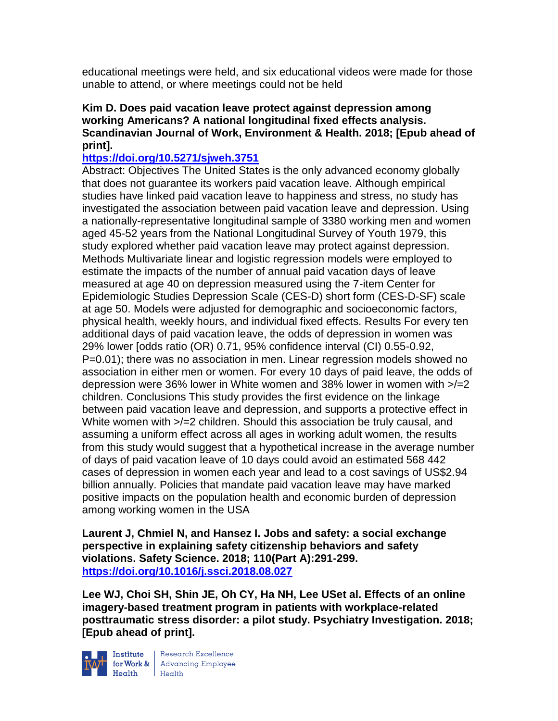educational meetings were held, and six educational videos were made for those unable to attend, or where meetings could not be held

# **Kim D. Does paid vacation leave protect against depression among working Americans? A national longitudinal fixed effects analysis. Scandinavian Journal of Work, Environment & Health. 2018; [Epub ahead of print].**

# **<https://doi.org/10.5271/sjweh.3751>**

Abstract: Objectives The United States is the only advanced economy globally that does not guarantee its workers paid vacation leave. Although empirical studies have linked paid vacation leave to happiness and stress, no study has investigated the association between paid vacation leave and depression. Using a nationally-representative longitudinal sample of 3380 working men and women aged 45-52 years from the National Longitudinal Survey of Youth 1979, this study explored whether paid vacation leave may protect against depression. Methods Multivariate linear and logistic regression models were employed to estimate the impacts of the number of annual paid vacation days of leave measured at age 40 on depression measured using the 7-item Center for Epidemiologic Studies Depression Scale (CES-D) short form (CES-D-SF) scale at age 50. Models were adjusted for demographic and socioeconomic factors, physical health, weekly hours, and individual fixed effects. Results For every ten additional days of paid vacation leave, the odds of depression in women was 29% lower [odds ratio (OR) 0.71, 95% confidence interval (CI) 0.55-0.92, P=0.01); there was no association in men. Linear regression models showed no association in either men or women. For every 10 days of paid leave, the odds of depression were 36% lower in White women and 38% lower in women with >/=2 children. Conclusions This study provides the first evidence on the linkage between paid vacation leave and depression, and supports a protective effect in White women with  $\geq/2$  children. Should this association be truly causal, and assuming a uniform effect across all ages in working adult women, the results from this study would suggest that a hypothetical increase in the average number of days of paid vacation leave of 10 days could avoid an estimated 568 442 cases of depression in women each year and lead to a cost savings of US\$2.94 billion annually. Policies that mandate paid vacation leave may have marked positive impacts on the population health and economic burden of depression among working women in the USA

**Laurent J, Chmiel N, and Hansez I. Jobs and safety: a social exchange perspective in explaining safety citizenship behaviors and safety violations. Safety Science. 2018; 110(Part A):291-299. <https://doi.org/10.1016/j.ssci.2018.08.027>** 

**Lee WJ, Choi SH, Shin JE, Oh CY, Ha NH, Lee USet al. Effects of an online imagery-based treatment program in patients with workplace-related posttraumatic stress disorder: a pilot study. Psychiatry Investigation. 2018; [Epub ahead of print].**



**Institute** Research Excellence<br> **for Work &** Advancing Employee<br> **Health** Health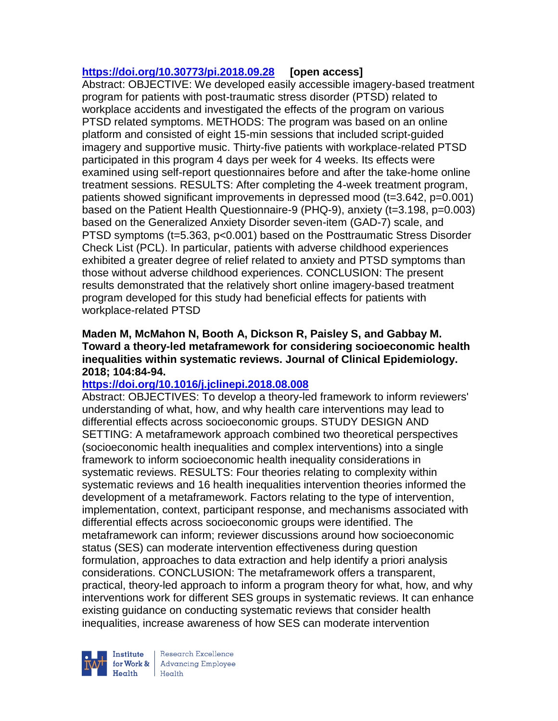# **<https://doi.org/10.30773/pi.2018.09.28> [open access]**

Abstract: OBJECTIVE: We developed easily accessible imagery-based treatment program for patients with post-traumatic stress disorder (PTSD) related to workplace accidents and investigated the effects of the program on various PTSD related symptoms. METHODS: The program was based on an online platform and consisted of eight 15-min sessions that included script-guided imagery and supportive music. Thirty-five patients with workplace-related PTSD participated in this program 4 days per week for 4 weeks. Its effects were examined using self-report questionnaires before and after the take-home online treatment sessions. RESULTS: After completing the 4-week treatment program, patients showed significant improvements in depressed mood (t=3.642, p=0.001) based on the Patient Health Questionnaire-9 (PHQ-9), anxiety (t=3.198, p=0.003) based on the Generalized Anxiety Disorder seven-item (GAD-7) scale, and PTSD symptoms (t=5.363, p<0.001) based on the Posttraumatic Stress Disorder Check List (PCL). In particular, patients with adverse childhood experiences exhibited a greater degree of relief related to anxiety and PTSD symptoms than those without adverse childhood experiences. CONCLUSION: The present results demonstrated that the relatively short online imagery-based treatment program developed for this study had beneficial effects for patients with workplace-related PTSD

## **Maden M, McMahon N, Booth A, Dickson R, Paisley S, and Gabbay M. Toward a theory-led metaframework for considering socioeconomic health inequalities within systematic reviews. Journal of Clinical Epidemiology. 2018; 104:84-94.**

# **<https://doi.org/10.1016/j.jclinepi.2018.08.008>**

Abstract: OBJECTIVES: To develop a theory-led framework to inform reviewers' understanding of what, how, and why health care interventions may lead to differential effects across socioeconomic groups. STUDY DESIGN AND SETTING: A metaframework approach combined two theoretical perspectives (socioeconomic health inequalities and complex interventions) into a single framework to inform socioeconomic health inequality considerations in systematic reviews. RESULTS: Four theories relating to complexity within systematic reviews and 16 health inequalities intervention theories informed the development of a metaframework. Factors relating to the type of intervention, implementation, context, participant response, and mechanisms associated with differential effects across socioeconomic groups were identified. The metaframework can inform; reviewer discussions around how socioeconomic status (SES) can moderate intervention effectiveness during question formulation, approaches to data extraction and help identify a priori analysis considerations. CONCLUSION: The metaframework offers a transparent, practical, theory-led approach to inform a program theory for what, how, and why interventions work for different SES groups in systematic reviews. It can enhance existing guidance on conducting systematic reviews that consider health inequalities, increase awareness of how SES can moderate intervention

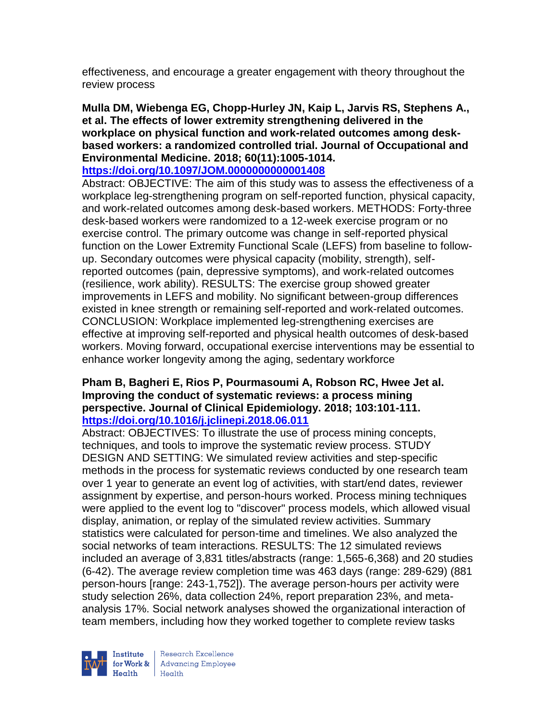effectiveness, and encourage a greater engagement with theory throughout the review process

**Mulla DM, Wiebenga EG, Chopp-Hurley JN, Kaip L, Jarvis RS, Stephens A., et al. The effects of lower extremity strengthening delivered in the workplace on physical function and work-related outcomes among deskbased workers: a randomized controlled trial. Journal of Occupational and Environmental Medicine. 2018; 60(11):1005-1014.** 

### **<https://doi.org/10.1097/JOM.0000000000001408>**

Abstract: OBJECTIVE: The aim of this study was to assess the effectiveness of a workplace leg-strengthening program on self-reported function, physical capacity, and work-related outcomes among desk-based workers. METHODS: Forty-three desk-based workers were randomized to a 12-week exercise program or no exercise control. The primary outcome was change in self-reported physical function on the Lower Extremity Functional Scale (LEFS) from baseline to followup. Secondary outcomes were physical capacity (mobility, strength), selfreported outcomes (pain, depressive symptoms), and work-related outcomes (resilience, work ability). RESULTS: The exercise group showed greater improvements in LEFS and mobility. No significant between-group differences existed in knee strength or remaining self-reported and work-related outcomes. CONCLUSION: Workplace implemented leg-strengthening exercises are effective at improving self-reported and physical health outcomes of desk-based workers. Moving forward, occupational exercise interventions may be essential to enhance worker longevity among the aging, sedentary workforce

## **Pham B, Bagheri E, Rios P, Pourmasoumi A, Robson RC, Hwee Jet al. Improving the conduct of systematic reviews: a process mining perspective. Journal of Clinical Epidemiology. 2018; 103:101-111. <https://doi.org/10.1016/j.jclinepi.2018.06.011>**

Abstract: OBJECTIVES: To illustrate the use of process mining concepts, techniques, and tools to improve the systematic review process. STUDY DESIGN AND SETTING: We simulated review activities and step-specific methods in the process for systematic reviews conducted by one research team over 1 year to generate an event log of activities, with start/end dates, reviewer assignment by expertise, and person-hours worked. Process mining techniques were applied to the event log to "discover" process models, which allowed visual display, animation, or replay of the simulated review activities. Summary statistics were calculated for person-time and timelines. We also analyzed the social networks of team interactions. RESULTS: The 12 simulated reviews included an average of 3,831 titles/abstracts (range: 1,565-6,368) and 20 studies (6-42). The average review completion time was 463 days (range: 289-629) (881 person-hours [range: 243-1,752]). The average person-hours per activity were study selection 26%, data collection 24%, report preparation 23%, and metaanalysis 17%. Social network analyses showed the organizational interaction of team members, including how they worked together to complete review tasks

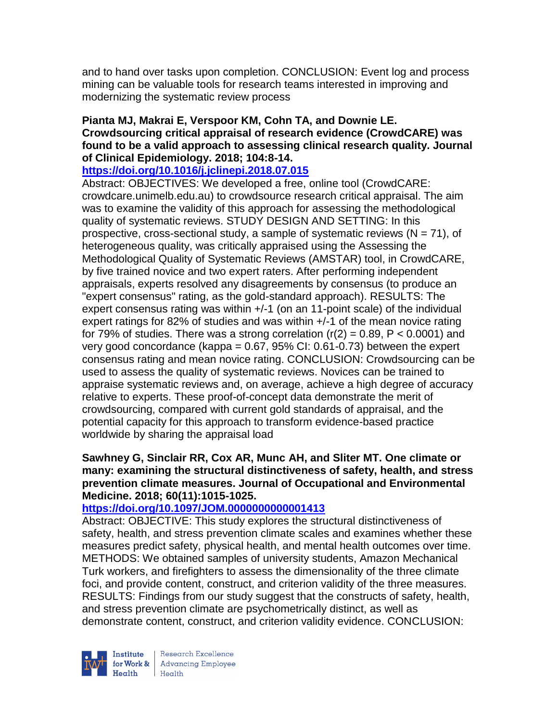and to hand over tasks upon completion. CONCLUSION: Event log and process mining can be valuable tools for research teams interested in improving and modernizing the systematic review process

# **Pianta MJ, Makrai E, Verspoor KM, Cohn TA, and Downie LE. Crowdsourcing critical appraisal of research evidence (CrowdCARE) was found to be a valid approach to assessing clinical research quality. Journal of Clinical Epidemiology. 2018; 104:8-14.**

## **<https://doi.org/10.1016/j.jclinepi.2018.07.015>**

Abstract: OBJECTIVES: We developed a free, online tool (CrowdCARE: crowdcare.unimelb.edu.au) to crowdsource research critical appraisal. The aim was to examine the validity of this approach for assessing the methodological quality of systematic reviews. STUDY DESIGN AND SETTING: In this prospective, cross-sectional study, a sample of systematic reviews  $(N = 71)$ , of heterogeneous quality, was critically appraised using the Assessing the Methodological Quality of Systematic Reviews (AMSTAR) tool, in CrowdCARE, by five trained novice and two expert raters. After performing independent appraisals, experts resolved any disagreements by consensus (to produce an "expert consensus" rating, as the gold-standard approach). RESULTS: The expert consensus rating was within  $+/-1$  (on an 11-point scale) of the individual expert ratings for 82% of studies and was within +/-1 of the mean novice rating for 79% of studies. There was a strong correlation  $(r(2) = 0.89, P < 0.0001)$  and very good concordance (kappa =  $0.67$ ,  $95\%$  CI:  $0.61$ -0.73) between the expert consensus rating and mean novice rating. CONCLUSION: Crowdsourcing can be used to assess the quality of systematic reviews. Novices can be trained to appraise systematic reviews and, on average, achieve a high degree of accuracy relative to experts. These proof-of-concept data demonstrate the merit of crowdsourcing, compared with current gold standards of appraisal, and the potential capacity for this approach to transform evidence-based practice worldwide by sharing the appraisal load

### **Sawhney G, Sinclair RR, Cox AR, Munc AH, and Sliter MT. One climate or many: examining the structural distinctiveness of safety, health, and stress prevention climate measures. Journal of Occupational and Environmental Medicine. 2018; 60(11):1015-1025.**

## **<https://doi.org/10.1097/JOM.0000000000001413>**

Abstract: OBJECTIVE: This study explores the structural distinctiveness of safety, health, and stress prevention climate scales and examines whether these measures predict safety, physical health, and mental health outcomes over time. METHODS: We obtained samples of university students, Amazon Mechanical Turk workers, and firefighters to assess the dimensionality of the three climate foci, and provide content, construct, and criterion validity of the three measures. RESULTS: Findings from our study suggest that the constructs of safety, health, and stress prevention climate are psychometrically distinct, as well as demonstrate content, construct, and criterion validity evidence. CONCLUSION:



Research Excellence for Work & Advancing Employee<br>Health Health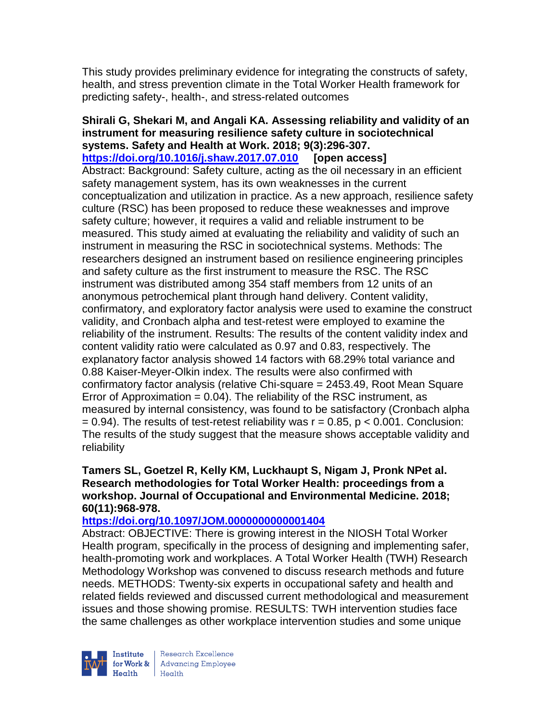This study provides preliminary evidence for integrating the constructs of safety, health, and stress prevention climate in the Total Worker Health framework for predicting safety-, health-, and stress-related outcomes

### **Shirali G, Shekari M, and Angali KA. Assessing reliability and validity of an instrument for measuring resilience safety culture in sociotechnical systems. Safety and Health at Work. 2018; 9(3):296-307. <https://doi.org/10.1016/j.shaw.2017.07.010> [open access]** Abstract: Background: Safety culture, acting as the oil necessary in an efficient safety management system, has its own weaknesses in the current conceptualization and utilization in practice. As a new approach, resilience safety culture (RSC) has been proposed to reduce these weaknesses and improve safety culture; however, it requires a valid and reliable instrument to be measured. This study aimed at evaluating the reliability and validity of such an instrument in measuring the RSC in sociotechnical systems. Methods: The researchers designed an instrument based on resilience engineering principles and safety culture as the first instrument to measure the RSC. The RSC instrument was distributed among 354 staff members from 12 units of an anonymous petrochemical plant through hand delivery. Content validity, confirmatory, and exploratory factor analysis were used to examine the construct validity, and Cronbach alpha and test-retest were employed to examine the reliability of the instrument. Results: The results of the content validity index and content validity ratio were calculated as 0.97 and 0.83, respectively. The explanatory factor analysis showed 14 factors with 68.29% total variance and 0.88 Kaiser-Meyer-Olkin index. The results were also confirmed with confirmatory factor analysis (relative Chi-square = 2453.49, Root Mean Square Error of Approximation  $= 0.04$ ). The reliability of the RSC instrument, as measured by internal consistency, was found to be satisfactory (Cronbach alpha  $= 0.94$ ). The results of test-retest reliability was  $r = 0.85$ ,  $p < 0.001$ . Conclusion: The results of the study suggest that the measure shows acceptable validity and reliability

## **Tamers SL, Goetzel R, Kelly KM, Luckhaupt S, Nigam J, Pronk NPet al. Research methodologies for Total Worker Health: proceedings from a workshop. Journal of Occupational and Environmental Medicine. 2018; 60(11):968-978.**

## **<https://doi.org/10.1097/JOM.0000000000001404>**

Abstract: OBJECTIVE: There is growing interest in the NIOSH Total Worker Health program, specifically in the process of designing and implementing safer, health-promoting work and workplaces. A Total Worker Health (TWH) Research Methodology Workshop was convened to discuss research methods and future needs. METHODS: Twenty-six experts in occupational safety and health and related fields reviewed and discussed current methodological and measurement issues and those showing promise. RESULTS: TWH intervention studies face the same challenges as other workplace intervention studies and some unique



Research Excellence for Work & | Advancing Employee  $Heath$